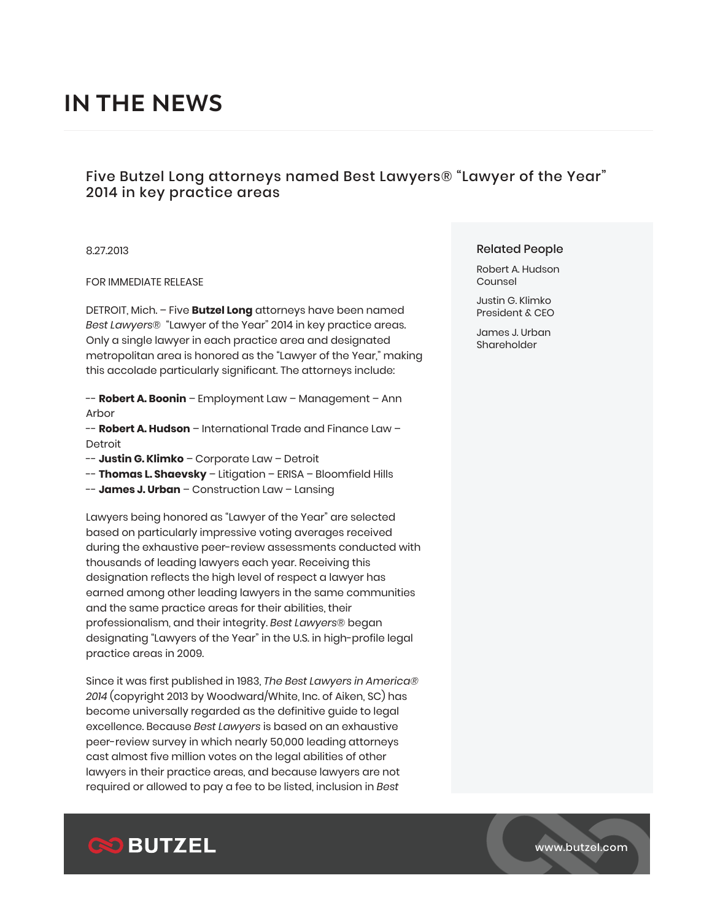# Five Butzel Long attorneys named Best Lawyers® "Lawyer of the Year" 2014 in key practice areas

## 8.27.2013

## FOR IMMEDIATE RELEASE

DETROIT, Mich. – Five **Butzel Long** attorneys have been named *Best Lawyers*® "Lawyer of the Year" 2014 in key practice areas. Only a single lawyer in each practice area and designated metropolitan area is honored as the "Lawyer of the Year," making this accolade particularly significant. The attorneys include:

-- **Robert A. Boonin** – Employment Law – Management – Ann Arbor

-- **Robert A. Hudson** – International Trade and Finance Law – Detroit

-- **Justin G. Klimko** – Corporate Law – Detroit

- -- **Thomas L. Shaevsky** Litigation ERISA Bloomfield Hills
- -- **James J. Urban** Construction Law Lansing

Lawyers being honored as "Lawyer of the Year" are selected based on particularly impressive voting averages received during the exhaustive peer-review assessments conducted with thousands of leading lawyers each year. Receiving this designation reflects the high level of respect a lawyer has earned among other leading lawyers in the same communities and the same practice areas for their abilities, their professionalism, and their integrity. *Best Lawyers*® began designating "Lawyers of the Year" in the U.S. in high-profile legal practice areas in 2009.

Since it was first published in 1983, *The Best Lawyers in America® 2014* (copyright 2013 by Woodward/White, Inc. of Aiken, SC) has become universally regarded as the definitive guide to legal excellence. Because *Best Lawyers* is based on an exhaustive peer-review survey in which nearly 50,000 leading attorneys cast almost five million votes on the legal abilities of other lawyers in their practice areas, and because lawyers are not required or allowed to pay a fee to be listed, inclusion in *Best*

# Related People

Robert A. Hudson Counsel

Justin G. Klimko President & CEO

James J. Urban Shareholder

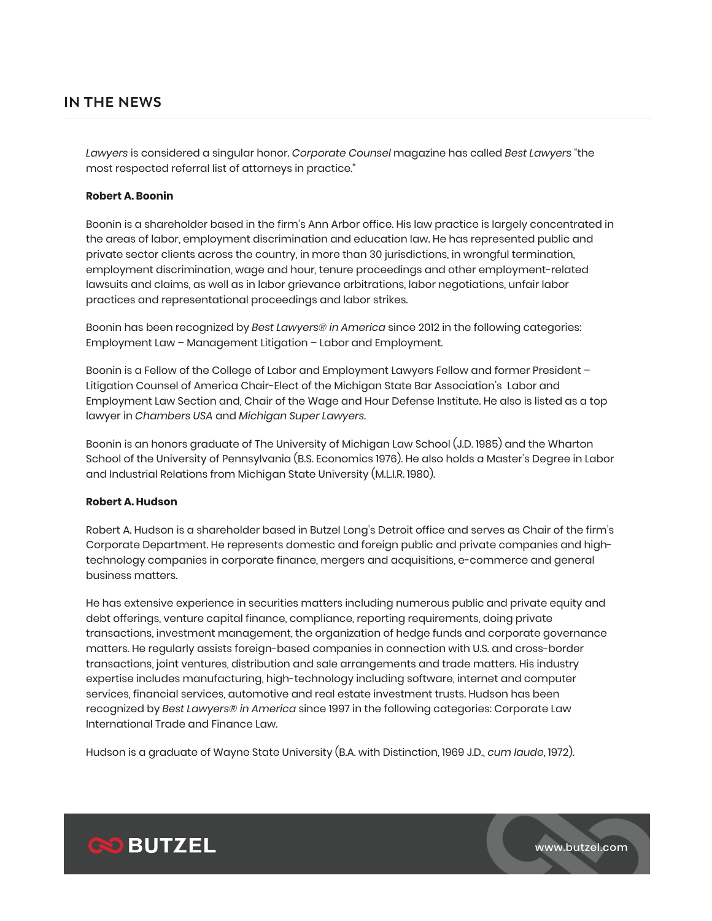*Lawyers* is considered a singular honor. *Corporate Counsel* magazine has called *Best Lawyers* "the most respected referral list of attorneys in practice."

## **Robert A. Boonin**

Boonin is a shareholder based in the firm's Ann Arbor office. His law practice is largely concentrated in the areas of labor, employment discrimination and education law. He has represented public and private sector clients across the country, in more than 30 jurisdictions, in wrongful termination, employment discrimination, wage and hour, tenure proceedings and other employment-related lawsuits and claims, as well as in labor grievance arbitrations, labor negotiations, unfair labor practices and representational proceedings and labor strikes.

Boonin has been recognized by *Best Lawyers® in America* since 2012 in the following categories: Employment Law – Management Litigation – Labor and Employment.

Boonin is a Fellow of the College of Labor and Employment Lawyers Fellow and former President – Litigation Counsel of America Chair-Elect of the Michigan State Bar Association's Labor and Employment Law Section and, Chair of the Wage and Hour Defense Institute. He also is listed as a top lawyer in *Chambers USA* and *Michigan Super Lawyers*.

Boonin is an honors graduate of The University of Michigan Law School (J.D. 1985) and the Wharton School of the University of Pennsylvania (B.S. Economics 1976). He also holds a Master's Degree in Labor and Industrial Relations from Michigan State University (M.L.I.R. 1980).

## **Robert A. Hudson**

Robert A. Hudson is a shareholder based in Butzel Long's Detroit office and serves as Chair of the firm's Corporate Department. He represents domestic and foreign public and private companies and hightechnology companies in corporate finance, mergers and acquisitions, e-commerce and general business matters.

He has extensive experience in securities matters including numerous public and private equity and debt offerings, venture capital finance, compliance, reporting requirements, doing private transactions, investment management, the organization of hedge funds and corporate governance matters. He regularly assists foreign-based companies in connection with U.S. and cross-border transactions, joint ventures, distribution and sale arrangements and trade matters. His industry expertise includes manufacturing, high-technology including software, internet and computer services, financial services, automotive and real estate investment trusts. Hudson has been recognized by *Best Lawyers® in America* since 1997 in the following categories: Corporate Law International Trade and Finance Law.

Hudson is a graduate of Wayne State University (B.A. with Distinction, 1969 J.D., *cum laude*, 1972).

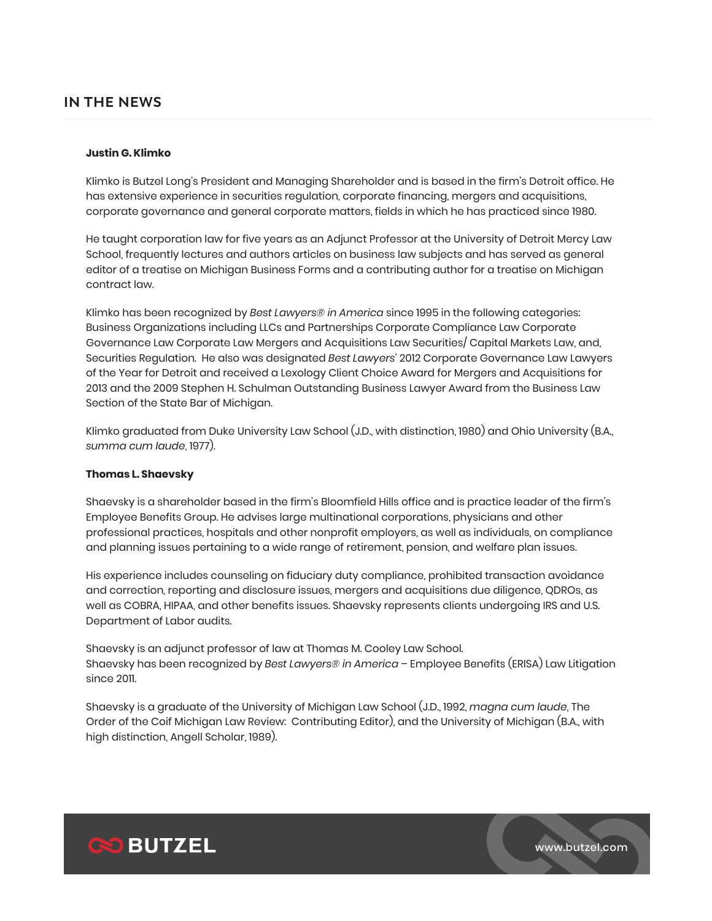### **Justin G. Klimko**

Klimko is Butzel Long's President and Managing Shareholder and is based in the firm's Detroit office. He has extensive experience in securities regulation, corporate financing, mergers and acquisitions, corporate governance and general corporate matters, fields in which he has practiced since 1980.

He taught corporation law for five years as an Adjunct Professor at the University of Detroit Mercy Law School, frequently lectures and authors articles on business law subjects and has served as general editor of a treatise on Michigan Business Forms and a contributing author for a treatise on Michigan contract law.

Klimko has been recognized by *Best Lawyers® in America* since 1995 in the following categories: Business Organizations including LLCs and Partnerships Corporate Compliance Law Corporate Governance Law Corporate Law Mergers and Acquisitions Law Securities/ Capital Markets Law, and, Securities Regulation. He also was designated *Best Lawyers'* 2012 Corporate Governance Law Lawyers of the Year for Detroit and received a Lexology Client Choice Award for Mergers and Acquisitions for 2013 and the 2009 Stephen H. Schulman Outstanding Business Lawyer Award from the Business Law Section of the State Bar of Michigan.

Klimko graduated from Duke University Law School (J.D., with distinction, 1980) and Ohio University (B.A., *summa cum laude*, 1977).

#### **Thomas L. Shaevsky**

Shaevsky is a shareholder based in the firm's Bloomfield Hills office and is practice leader of the firm's Employee Benefits Group. He advises large multinational corporations, physicians and other professional practices, hospitals and other nonprofit employers, as well as individuals, on compliance and planning issues pertaining to a wide range of retirement, pension, and welfare plan issues.

His experience includes counseling on fiduciary duty compliance, prohibited transaction avoidance and correction, reporting and disclosure issues, mergers and acquisitions due diligence, QDROs, as well as COBRA, HIPAA, and other benefits issues. Shaevsky represents clients undergoing IRS and U.S. Department of Labor audits.

Shaevsky is an adjunct professor of law at Thomas M. Cooley Law School. Shaevsky has been recognized by *Best Lawyers® in America* – Employee Benefits (ERISA) Law Litigation since 2011.

Shaevsky is a graduate of the University of Michigan Law School (J.D., 1992, *magna cum laude*, The Order of the Coif Michigan Law Review: Contributing Editor), and the University of Michigan (B.A., with high distinction, Angell Scholar, 1989).